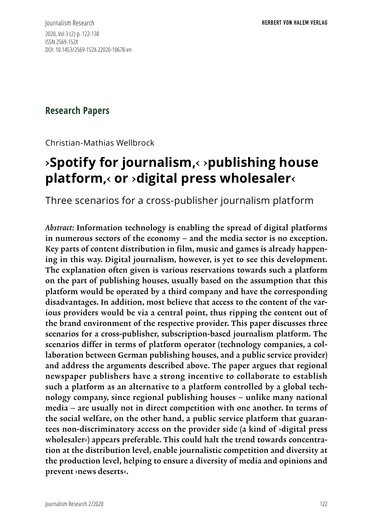Journalism Research 2020, Vol 3 (2) p. 122-138 ISSN 2569-152X DOI: 10.1453/2569-152X-22020-10678-en

### **Research Papers**

Christian-Mathias Wellbrock

# ›**Spotify for journalism,**‹ ›**publishing house platform,**‹ **or** ›**digital press wholesaler**‹

Three scenarios for a cross-publisher journalism platform

*Abstract:* Information technology is enabling the spread of digital platforms in numerous sectors of the economy – and the media sector is no exception. Key parts of content distribution in film, music and games is already happening in this way. Digital journalism, however, is yet to see this development. The explanation often given is various reservations towards such a platform on the part of publishing houses, usually based on the assumption that this platform would be operated by a third company and have the corresponding disadvantages. In addition, most believe that access to the content of the various providers would be via a central point, thus ripping the content out of the brand environment of the respective provider. This paper discusses three scenarios for a cross-publisher, subscription-based journalism platform. The scenarios differ in terms of platform operator (technology companies, a collaboration between German publishing houses, and a public service provider) and address the arguments described above. The paper argues that regional newspaper publishers have a strong incentive to collaborate to establish such a platform as an alternative to a platform controlled by a global technology company, since regional publishing houses – unlike many national media – are usually not in direct competition with one another. In terms of the social welfare, on the other hand, a public service platform that guarantees non-discriminatory access on the provider side (a kind of ›digital press wholesaler<) appears preferable. This could halt the trend towards concentration at the distribution level, enable journalistic competition and diversity at the production level, helping to ensure a diversity of media and opinions and prevent ›news deserts‹.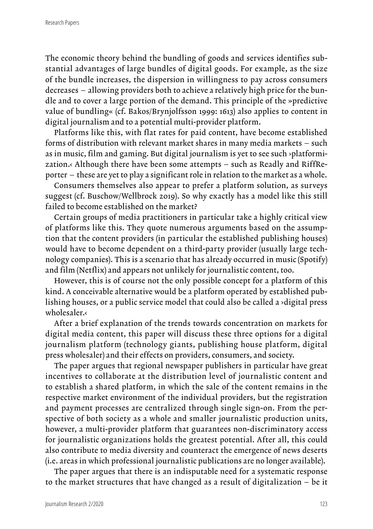The economic theory behind the bundling of goods and services identifies substantial advantages of large bundles of digital goods. For example, as the size of the bundle increases, the dispersion in willingness to pay across consumers decreases – allowing providers both to achieve a relatively high price for the bundle and to cover a large portion of the demand. This principle of the »predictive value of bundling« (cf. Bakos/Brynjolfsson 1999: 1613) also applies to content in digital journalism and to a potential multi-provider platform.

Platforms like this, with flat rates for paid content, have become established forms of distribution with relevant market shares in many media markets – such as in music, film and gaming. But digital journalism is yet to see such ›platformization.‹ Although there have been some attempts – such as Readly and RiffReporter – these are yet to play a significant role in relation to the market as a whole.

Consumers themselves also appear to prefer a platform solution, as surveys suggest (cf. Buschow/Wellbrock 2019). So why exactly has a model like this still failed to become established on the market?

Certain groups of media practitioners in particular take a highly critical view of platforms like this. They quote numerous arguments based on the assumption that the content providers (in particular the established publishing houses) would have to become dependent on a third-party provider (usually large technology companies). This is a scenario that has already occurred in music (Spotify) and film (Netflix) and appears not unlikely for journalistic content, too.

However, this is of course not the only possible concept for a platform of this kind. A conceivable alternative would be a platform operated by established publishing houses, or a public service model that could also be called a ›digital press wholesaler.‹

After a brief explanation of the trends towards concentration on markets for digital media content, this paper will discuss these three options for a digital journalism platform (technology giants, publishing house platform, digital press wholesaler) and their effects on providers, consumers, and society.

The paper argues that regional newspaper publishers in particular have great incentives to collaborate at the distribution level of journalistic content and to establish a shared platform, in which the sale of the content remains in the respective market environment of the individual providers, but the registration and payment processes are centralized through single sign-on. From the perspective of both society as a whole and smaller journalistic production units, however, a multi-provider platform that guarantees non-discriminatory access for journalistic organizations holds the greatest potential. After all, this could also contribute to media diversity and counteract the emergence of news deserts (i.e. areas in which professional journalistic publications are no longer available).

The paper argues that there is an indisputable need for a systematic response to the market structures that have changed as a result of digitalization – be it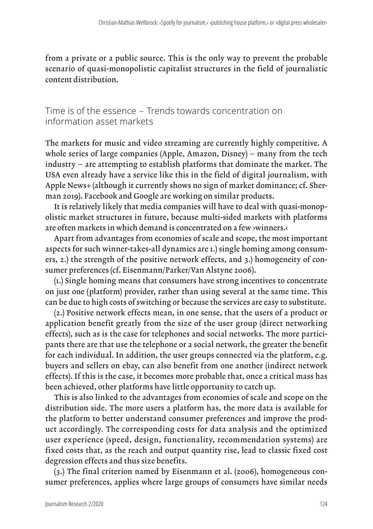from a private or a public source. This is the only way to prevent the probable scenario of quasi-monopolistic capitalist structures in the field of journalistic content distribution.

Time is of the essence – Trends towards concentration on information asset markets

The markets for music and video streaming are currently highly competitive. A whole series of large companies (Apple, Amazon, Disney) – many from the tech industry – are attempting to establish platforms that dominate the market. The USA even already have a service like this in the field of digital journalism, with Apple News+ (although it currently shows no sign of market dominance; cf. Sherman 2019). Facebook and Google are working on similar products.

It is relatively likely that media companies will have to deal with quasi-monopolistic market structures in future, because multi-sided markets with platforms are often markets in which demand is concentrated on a few ›winners.‹

Apart from advantages from economies of scale and scope, the most important aspects for such winner-takes-all dynamics are 1.) single homing among consumers, 2.) the strength of the positive network effects, and 3.) homogeneity of consumer preferences (cf. Eisenmann/Parker/Van Alstyne 2006).

(1.) Single homing means that consumers have strong incentives to concentrate on just one (platform) provider, rather than using several at the same time. This can be due to high costs of switching or because the services are easy to substitute.

(2.) Positive network effects mean, in one sense, that the users of a product or application benefit greatly from the size of the user group (direct networking effects), such as is the case for telephones and social networks. The more participants there are that use the telephone or a social network, the greater the benefit for each individual. In addition, the user groups connected via the platform, e.g. buyers and sellers on ebay, can also benefit from one another (indirect network effects). If this is the case, it becomes more probable that, once a critical mass has been achieved, other platforms have little opportunity to catch up.

This is also linked to the advantages from economies of scale and scope on the distribution side. The more users a platform has, the more data is available for the platform to better understand consumer preferences and improve the product accordingly. The corresponding costs for data analysis and the optimized user experience (speed, design, functionality, recommendation systems) are fixed costs that, as the reach and output quantity rise, lead to classic fixed cost degression effects and thus size benefits.

(3.) The final criterion named by Eisenmann et al. (2006), homogeneous consumer preferences, applies where large groups of consumers have similar needs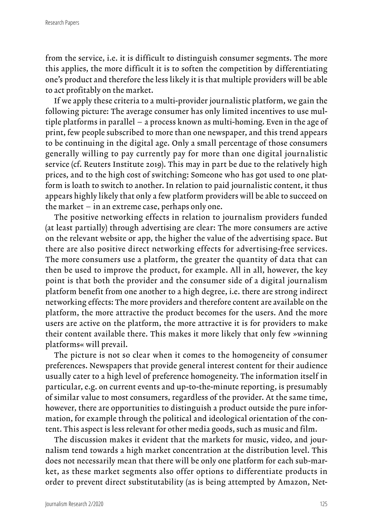from the service, i.e. it is difficult to distinguish consumer segments. The more this applies, the more difficult it is to soften the competition by differentiating one's product and therefore the less likely it is that multiple providers will be able to act profitably on the market.

If we apply these criteria to a multi-provider journalistic platform, we gain the following picture: The average consumer has only limited incentives to use multiple platforms in parallel – a process known as multi-homing. Even in the age of print, few people subscribed to more than one newspaper, and this trend appears to be continuing in the digital age. Only a small percentage of those consumers generally willing to pay currently pay for more than one digital journalistic service (cf. Reuters Institute 2019). This may in part be due to the relatively high prices, and to the high cost of switching: Someone who has got used to one platform is loath to switch to another. In relation to paid journalistic content, it thus appears highly likely that only a few platform providers will be able to succeed on the market – in an extreme case, perhaps only one.

The positive networking effects in relation to journalism providers funded (at least partially) through advertising are clear: The more consumers are active on the relevant website or app, the higher the value of the advertising space. But there are also positive direct networking effects for advertising-free services. The more consumers use a platform, the greater the quantity of data that can then be used to improve the product, for example. All in all, however, the key point is that both the provider and the consumer side of a digital journalism platform benefit from one another to a high degree, i.e. there are strong indirect networking effects: The more providers and therefore content are available on the platform, the more attractive the product becomes for the users. And the more users are active on the platform, the more attractive it is for providers to make their content available there. This makes it more likely that only few »winning platforms« will prevail.

The picture is not so clear when it comes to the homogeneity of consumer preferences. Newspapers that provide general interest content for their audience usually cater to a high level of preference homogeneity. The information itself in particular, e.g. on current events and up-to-the-minute reporting, is presumably of similar value to most consumers, regardless of the provider. At the same time, however, there are opportunities to distinguish a product outside the pure information, for example through the political and ideological orientation of the content. This aspect is less relevant for other media goods, such as music and film.

The discussion makes it evident that the markets for music, video, and journalism tend towards a high market concentration at the distribution level. This does not necessarily mean that there will be only one platform for each sub-market, as these market segments also offer options to differentiate products in order to prevent direct substitutability (as is being attempted by Amazon, Net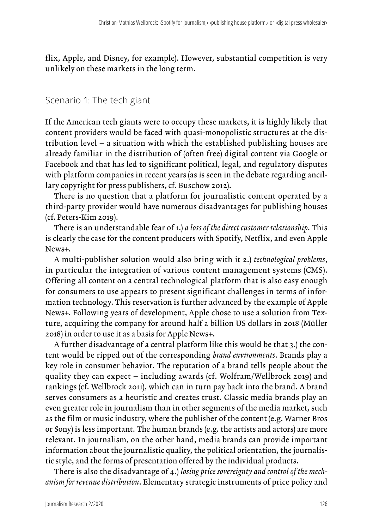flix, Apple, and Disney, for example). However, substantial competition is very unlikely on these markets in the long term.

#### Scenario 1: The tech giant

If the American tech giants were to occupy these markets, it is highly likely that content providers would be faced with quasi-monopolistic structures at the distribution level – a situation with which the established publishing houses are already familiar in the distribution of (often free) digital content via Google or Facebook and that has led to significant political, legal, and regulatory disputes with platform companies in recent years (as is seen in the debate regarding ancillary copyright for press publishers, cf. Buschow 2012).

There is no question that a platform for journalistic content operated by a third-party provider would have numerous disadvantages for publishing houses (cf. Peters-Kim 2019).

There is an understandable fear of 1.) *a loss of the direct customer relationship*. This is clearly the case for the content producers with Spotify, Netflix, and even Apple News+.

A multi-publisher solution would also bring with it 2.) *technological problems*, in particular the integration of various content management systems (CMS). Offering all content on a central technological platform that is also easy enough for consumers to use appears to present significant challenges in terms of information technology. This reservation is further advanced by the example of Apple News+. Following years of development, Apple chose to use a solution from Texture, acquiring the company for around half a billion US dollars in 2018 (Müller 2018) in order to use it as a basis for Apple News+.

A further disadvantage of a central platform like this would be that 3.) the content would be ripped out of the corresponding *brand environments*. Brands play a key role in consumer behavior. The reputation of a brand tells people about the quality they can expect – including awards (cf. Wolfram/Wellbrock 2019) and rankings (cf. Wellbrock 2011), which can in turn pay back into the brand. A brand serves consumers as a heuristic and creates trust. Classic media brands play an even greater role in journalism than in other segments of the media market, such as the film or music industry, where the publisher of the content (e.g. Warner Bros or Sony) is less important. The human brands (e.g. the artists and actors) are more relevant. In journalism, on the other hand, media brands can provide important information about the journalistic quality, the political orientation, the journalistic style, and the forms of presentation offered by the individual products.

There is also the disadvantage of 4.) *losing price sovereignty and control of the mechanism for revenue distribution*. Elementary strategic instruments of price policy and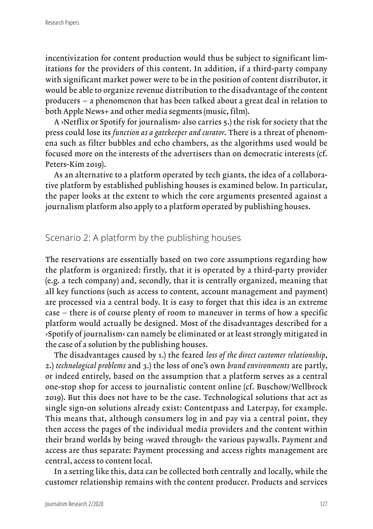incentivization for content production would thus be subject to significant limitations for the providers of this content. In addition, if a third-party company with significant market power were to be in the position of content distributor, it would be able to organize revenue distribution to the disadvantage of the content producers – a phenomenon that has been talked about a great deal in relation to both Apple News+ and other media segments (music, film).

A ›Netflix or Spotify for journalism‹ also carries 5.) the risk for society that the press could lose its *function as a gatekeeper and curator*. There is a threat of phenomena such as filter bubbles and echo chambers, as the algorithms used would be focused more on the interests of the advertisers than on democratic interests (cf. Peters-Kim 2019).

As an alternative to a platform operated by tech giants, the idea of a collaborative platform by established publishing houses is examined below. In particular, the paper looks at the extent to which the core arguments presented against a journalism platform also apply to a platform operated by publishing houses.

#### Scenario 2: A platform by the publishing houses

The reservations are essentially based on two core assumptions regarding how the platform is organized: firstly, that it is operated by a third-party provider (e.g. a tech company) and, secondly, that it is centrally organized, meaning that all key functions (such as access to content, account management and payment) are processed via a central body. It is easy to forget that this idea is an extreme case – there is of course plenty of room to maneuver in terms of how a specific platform would actually be designed. Most of the disadvantages described for a ›Spotify of journalism‹ can namely be eliminated or at least strongly mitigated in the case of a solution by the publishing houses.

The disadvantages caused by 1.) the feared *loss of the direct customer relationship*, 2.) *technological problems* and 3.) the loss of one's own *brand environments* are partly, or indeed entirely, based on the assumption that a platform serves as a central one-stop shop for access to journalistic content online (cf. Buschow/Wellbrock 2019). But this does not have to be the case. Technological solutions that act as single sign-on solutions already exist: Contentpass and Laterpay, for example. This means that, although consumers log in and pay via a central point, they then access the pages of the individual media providers and the content within their brand worlds by being ›waved through‹ the various paywalls. Payment and access are thus separate: Payment processing and access rights management are central, access to content local.

In a setting like this, data can be collected both centrally and locally, while the customer relationship remains with the content producer. Products and services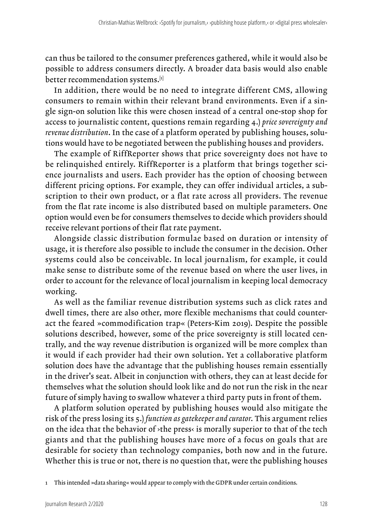can thus be tailored to the consumer preferences gathered, while it would also be possible to address consumers directly. A broader data basis would also enable better recommendation systems.[1]

In addition, there would be no need to integrate different CMS, allowing consumers to remain within their relevant brand environments. Even if a single sign-on solution like this were chosen instead of a central one-stop shop for access to journalistic content, questions remain regarding 4.) *price sovereignty and revenue distribution*. In the case of a platform operated by publishing houses, solutions would have to be negotiated between the publishing houses and providers.

The example of RiffReporter shows that price sovereignty does not have to be relinquished entirely. RiffReporter is a platform that brings together science journalists and users. Each provider has the option of choosing between different pricing options. For example, they can offer individual articles, a subscription to their own product, or a flat rate across all providers. The revenue from the flat rate income is also distributed based on multiple parameters. One option would even be for consumers themselves to decide which providers should receive relevant portions of their flat rate payment.

Alongside classic distribution formulae based on duration or intensity of usage, it is therefore also possible to include the consumer in the decision. Other systems could also be conceivable. In local journalism, for example, it could make sense to distribute some of the revenue based on where the user lives, in order to account for the relevance of local journalism in keeping local democracy working.

As well as the familiar revenue distribution systems such as click rates and dwell times, there are also other, more flexible mechanisms that could counteract the feared »commodification trap« (Peters-Kim 2019). Despite the possible solutions described, however, some of the price sovereignty is still located centrally, and the way revenue distribution is organized will be more complex than it would if each provider had their own solution. Yet a collaborative platform solution does have the advantage that the publishing houses remain essentially in the driver's seat. Albeit in conjunction with others, they can at least decide for themselves what the solution should look like and do not run the risk in the near future of simply having to swallow whatever a third party puts in front of them.

A platform solution operated by publishing houses would also mitigate the risk of the press losing its 5.) *function as gatekeeper and curator*. This argument relies on the idea that the behavior of ›the press‹ is morally superior to that of the tech giants and that the publishing houses have more of a focus on goals that are desirable for society than technology companies, both now and in the future. Whether this is true or not, there is no question that, were the publishing houses

1 This intended »data sharing« would appear to comply with the GDPR under certain conditions.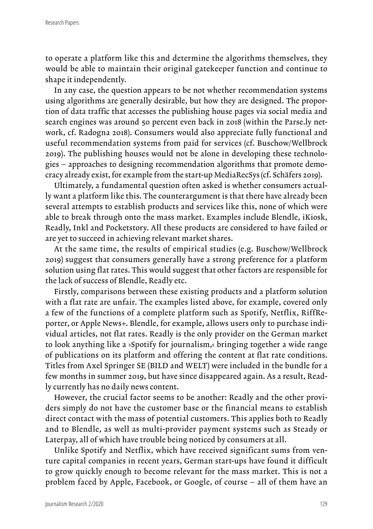to operate a platform like this and determine the algorithms themselves, they would be able to maintain their original gatekeeper function and continue to shape it independently.

In any case, the question appears to be not whether recommendation systems using algorithms are generally desirable, but how they are designed. The proportion of data traffic that accesses the publishing house pages via social media and search engines was around 50 percent even back in 2018 (within the Parse.ly network, cf. Radogna 2018). Consumers would also appreciate fully functional and useful recommendation systems from paid for services (cf. Buschow/Wellbrock 2019). The publishing houses would not be alone in developing these technologies – approaches to designing recommendation algorithms that promote democracy already exist, for example from the start-up MediaRecSys (cf. Schäfers 2019).

Ultimately, a fundamental question often asked is whether consumers actually want a platform like this. The counterargument is that there have already been several attempts to establish products and services like this, none of which were able to break through onto the mass market. Examples include Blendle, iKiosk, Readly, Inkl and Pocketstory. All these products are considered to have failed or are yet to succeed in achieving relevant market shares.

At the same time, the results of empirical studies (e.g. Buschow/Wellbrock 2019) suggest that consumers generally have a strong preference for a platform solution using flat rates. This would suggest that other factors are responsible for the lack of success of Blendle, Readly etc.

Firstly, comparisons between these existing products and a platform solution with a flat rate are unfair. The examples listed above, for example, covered only a few of the functions of a complete platform such as Spotify, Netflix, RiffReporter, or Apple News+. Blendle, for example, allows users only to purchase individual articles, not flat rates. Readly is the only provider on the German market to look anything like a ›Spotify for journalism,‹ bringing together a wide range of publications on its platform and offering the content at flat rate conditions. Titles from Axel Springer SE (BILD and WELT) were included in the bundle for a few months in summer 2019, but have since disappeared again. As a result, Readly currently has no daily news content.

However, the crucial factor seems to be another: Readly and the other providers simply do not have the customer base or the financial means to establish direct contact with the mass of potential customers. This applies both to Readly and to Blendle, as well as multi-provider payment systems such as Steady or Laterpay, all of which have trouble being noticed by consumers at all.

Unlike Spotify and Netflix, which have received significant sums from venture capital companies in recent years, German start-ups have found it difficult to grow quickly enough to become relevant for the mass market. This is not a problem faced by Apple, Facebook, or Google, of course – all of them have an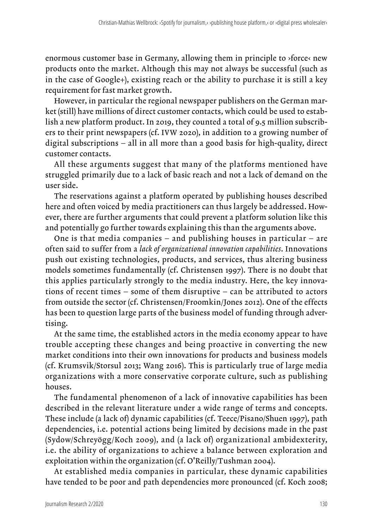enormous customer base in Germany, allowing them in principle to ›force‹ new products onto the market. Although this may not always be successful (such as in the case of Google+), existing reach or the ability to purchase it is still a key requirement for fast market growth.

However, in particular the regional newspaper publishers on the German market (still) have millions of direct customer contacts, which could be used to establish a new platform product. In 2019, they counted a total of 9.5 million subscribers to their print newspapers (cf. IVW 2020), in addition to a growing number of digital subscriptions – all in all more than a good basis for high-quality, direct customer contacts.

All these arguments suggest that many of the platforms mentioned have struggled primarily due to a lack of basic reach and not a lack of demand on the user side.

The reservations against a platform operated by publishing houses described here and often voiced by media practitioners can thus largely be addressed. However, there are further arguments that could prevent a platform solution like this and potentially go further towards explaining this than the arguments above.

One is that media companies – and publishing houses in particular – are often said to suffer from a *lack of organizational innovation capabilities*. Innovations push out existing technologies, products, and services, thus altering business models sometimes fundamentally (cf. Christensen 1997). There is no doubt that this applies particularly strongly to the media industry. Here, the key innovations of recent times – some of them disruptive – can be attributed to actors from outside the sector (cf. Christensen/Froomkin/Jones 2012). One of the effects has been to question large parts of the business model of funding through advertising.

At the same time, the established actors in the media economy appear to have trouble accepting these changes and being proactive in converting the new market conditions into their own innovations for products and business models (cf. Krumsvik/Storsul 2013; Wang 2016). This is particularly true of large media organizations with a more conservative corporate culture, such as publishing houses.

The fundamental phenomenon of a lack of innovative capabilities has been described in the relevant literature under a wide range of terms and concepts. These include (a lack of) dynamic capabilities (cf. Teece/Pisano/Shuen 1997), path dependencies, i.e. potential actions being limited by decisions made in the past (Sydow/Schreyögg/Koch 2009), and (a lack of) organizational ambidexterity, i.e. the ability of organizations to achieve a balance between exploration and exploitation within the organization (cf. O'Reilly/Tushman 2004).

At established media companies in particular, these dynamic capabilities have tended to be poor and path dependencies more pronounced (cf. Koch 2008;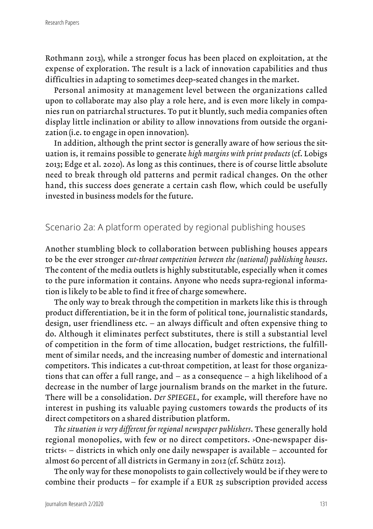Rothmann 2013), while a stronger focus has been placed on exploitation, at the expense of exploration. The result is a lack of innovation capabilities and thus difficulties in adapting to sometimes deep-seated changes in the market.

Personal animosity at management level between the organizations called upon to collaborate may also play a role here, and is even more likely in companies run on patriarchal structures. To put it bluntly, such media companies often display little inclination or ability to allow innovations from outside the organization (i.e. to engage in open innovation).

In addition, although the print sector is generally aware of how serious the situation is, it remains possible to generate *high margins with print products* (cf. Lobigs 2013; Edge et al. 2020). As long as this continues, there is of course little absolute need to break through old patterns and permit radical changes. On the other hand, this success does generate a certain cash flow, which could be usefully invested in business models for the future.

#### Scenario 2a: A platform operated by regional publishing houses

Another stumbling block to collaboration between publishing houses appears to be the ever stronger *cut-throat competition between the (national) publishing houses*. The content of the media outlets is highly substitutable, especially when it comes to the pure information it contains. Anyone who needs supra-regional information is likely to be able to find it free of charge somewhere.

The only way to break through the competition in markets like this is through product differentiation, be it in the form of political tone, journalistic standards, design, user friendliness etc. – an always difficult and often expensive thing to do. Although it eliminates perfect substitutes, there is still a substantial level of competition in the form of time allocation, budget restrictions, the fulfillment of similar needs, and the increasing number of domestic and international competitors. This indicates a cut-throat competition, at least for those organizations that can offer a full range, and – as a consequence – a high likelihood of a decrease in the number of large journalism brands on the market in the future. There will be a consolidation. *Der SPIEGEL*, for example, will therefore have no interest in pushing its valuable paying customers towards the products of its direct competitors on a shared distribution platform.

*The situation is very different for regional newspaper publishers*. These generally hold regional monopolies, with few or no direct competitors. ›One-newspaper districts‹ – districts in which only one daily newspaper is available – accounted for almost 60 percent of all districts in Germany in 2012 (cf. Schütz 2012).

The only way for these monopolists to gain collectively would be if they were to combine their products – for example if a EUR 25 subscription provided access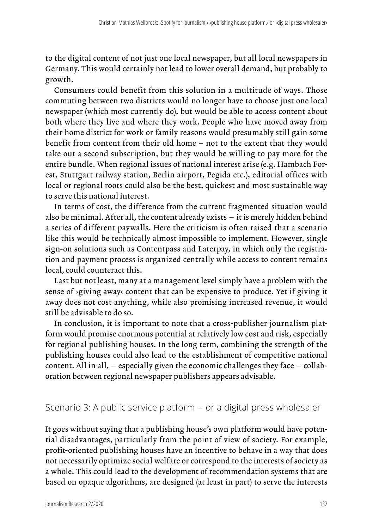to the digital content of not just one local newspaper, but all local newspapers in Germany. This would certainly not lead to lower overall demand, but probably to growth.

Consumers could benefit from this solution in a multitude of ways. Those commuting between two districts would no longer have to choose just one local newspaper (which most currently do), but would be able to access content about both where they live and where they work. People who have moved away from their home district for work or family reasons would presumably still gain some benefit from content from their old home – not to the extent that they would take out a second subscription, but they would be willing to pay more for the entire bundle. When regional issues of national interest arise (e.g. Hambach Forest, Stuttgart railway station, Berlin airport, Pegida etc.), editorial offices with local or regional roots could also be the best, quickest and most sustainable way to serve this national interest.

In terms of cost, the difference from the current fragmented situation would also be minimal. After all, the content already exists – it is merely hidden behind a series of different paywalls. Here the criticism is often raised that a scenario like this would be technically almost impossible to implement. However, single sign-on solutions such as Contentpass and Laterpay, in which only the registration and payment process is organized centrally while access to content remains local, could counteract this.

Last but not least, many at a management level simply have a problem with the sense of ›giving away‹ content that can be expensive to produce. Yet if giving it away does not cost anything, while also promising increased revenue, it would still be advisable to do so.

In conclusion, it is important to note that a cross-publisher journalism platform would promise enormous potential at relatively low cost and risk, especially for regional publishing houses. In the long term, combining the strength of the publishing houses could also lead to the establishment of competitive national content. All in all, – especially given the economic challenges they face – collaboration between regional newspaper publishers appears advisable.

## Scenario 3: A public service platform – or a digital press wholesaler

It goes without saying that a publishing house's own platform would have potential disadvantages, particularly from the point of view of society. For example, profit-oriented publishing houses have an incentive to behave in a way that does not necessarily optimize social welfare or correspond to the interests of society as a whole. This could lead to the development of recommendation systems that are based on opaque algorithms, are designed (at least in part) to serve the interests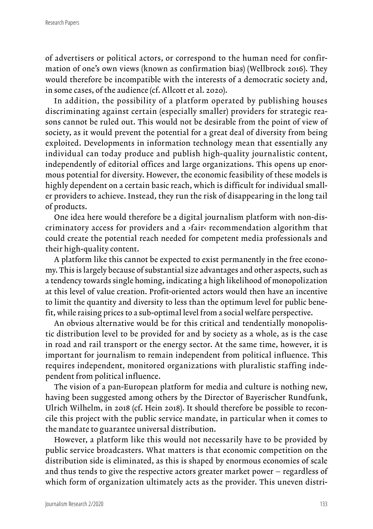of advertisers or political actors, or correspond to the human need for confirmation of one's own views (known as confirmation bias) (Wellbrock 2016). They would therefore be incompatible with the interests of a democratic society and, in some cases, of the audience (cf. Allcott et al. 2020).

In addition, the possibility of a platform operated by publishing houses discriminating against certain (especially smaller) providers for strategic reasons cannot be ruled out. This would not be desirable from the point of view of society, as it would prevent the potential for a great deal of diversity from being exploited. Developments in information technology mean that essentially any individual can today produce and publish high-quality journalistic content, independently of editorial offices and large organizations. This opens up enormous potential for diversity. However, the economic feasibility of these models is highly dependent on a certain basic reach, which is difficult for individual smaller providers to achieve. Instead, they run the risk of disappearing in the long tail of products.

One idea here would therefore be a digital journalism platform with non-discriminatory access for providers and a ›fair‹ recommendation algorithm that could create the potential reach needed for competent media professionals and their high-quality content.

A platform like this cannot be expected to exist permanently in the free economy. This is largely because of substantial size advantages and other aspects, such as a tendency towards single homing, indicating a high likelihood of monopolization at this level of value creation. Profit-oriented actors would then have an incentive to limit the quantity and diversity to less than the optimum level for public benefit, while raising prices to a sub-optimal level from a social welfare perspective.

An obvious alternative would be for this critical and tendentially monopolistic distribution level to be provided for and by society as a whole, as is the case in road and rail transport or the energy sector. At the same time, however, it is important for journalism to remain independent from political influence. This requires independent, monitored organizations with pluralistic staffing independent from political influence.

The vision of a pan-European platform for media and culture is nothing new, having been suggested among others by the Director of Bayerischer Rundfunk, Ulrich Wilhelm, in 2018 (cf. Hein 2018). It should therefore be possible to reconcile this project with the public service mandate, in particular when it comes to the mandate to guarantee universal distribution.

However, a platform like this would not necessarily have to be provided by public service broadcasters. What matters is that economic competition on the distribution side is eliminated, as this is shaped by enormous economies of scale and thus tends to give the respective actors greater market power – regardless of which form of organization ultimately acts as the provider. This uneven distri-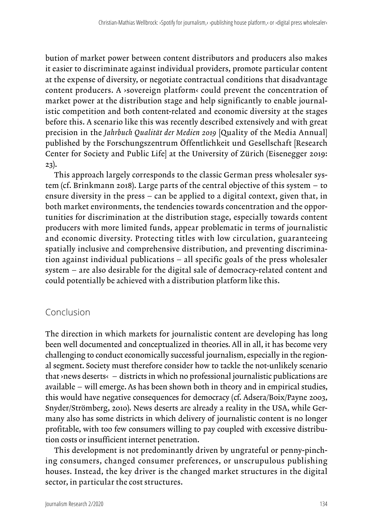bution of market power between content distributors and producers also makes it easier to discriminate against individual providers, promote particular content at the expense of diversity, or negotiate contractual conditions that disadvantage content producers. A ›sovereign platform‹ could prevent the concentration of market power at the distribution stage and help significantly to enable journalistic competition and both content-related and economic diversity at the stages before this. A scenario like this was recently described extensively and with great precision in the *Jahrbuch Qualität der Medien 2019* [Quality of the Media Annual] published by the Forschungszentrum Öffentlichkeit und Gesellschaft [Research Center for Society and Public Life] at the University of Zürich (Eisenegger 2019: 23).

This approach largely corresponds to the classic German press wholesaler system (cf. Brinkmann 2018). Large parts of the central objective of this system – to ensure diversity in the press – can be applied to a digital context, given that, in both market environments, the tendencies towards concentration and the opportunities for discrimination at the distribution stage, especially towards content producers with more limited funds, appear problematic in terms of journalistic and economic diversity. Protecting titles with low circulation, guaranteeing spatially inclusive and comprehensive distribution, and preventing discrimination against individual publications – all specific goals of the press wholesaler system – are also desirable for the digital sale of democracy-related content and could potentially be achieved with a distribution platform like this.

## Conclusion

The direction in which markets for journalistic content are developing has long been well documented and conceptualized in theories. All in all, it has become very challenging to conduct economically successful journalism, especially in the regional segment. Society must therefore consider how to tackle the not-unlikely scenario that ›news deserts‹ – districts in which no professional journalistic publications are available – will emerge. As has been shown both in theory and in empirical studies, this would have negative consequences for democracy (cf. Adsera/Boix/Payne 2003, Snyder/Strömberg, 2010). News deserts are already a reality in the USA, while Germany also has some districts in which delivery of journalistic content is no longer profitable, with too few consumers willing to pay coupled with excessive distribution costs or insufficient internet penetration.

This development is not predominantly driven by ungrateful or penny-pinching consumers, changed consumer preferences, or unscrupulous publishing houses. Instead, the key driver is the changed market structures in the digital sector, in particular the cost structures.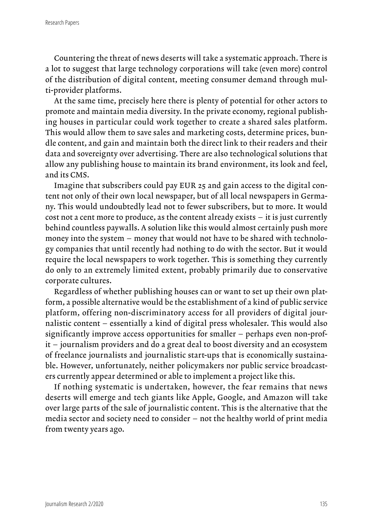Countering the threat of news deserts will take a systematic approach. There is a lot to suggest that large technology corporations will take (even more) control of the distribution of digital content, meeting consumer demand through multi-provider platforms.

At the same time, precisely here there is plenty of potential for other actors to promote and maintain media diversity. In the private economy, regional publishing houses in particular could work together to create a shared sales platform. This would allow them to save sales and marketing costs, determine prices, bundle content, and gain and maintain both the direct link to their readers and their data and sovereignty over advertising. There are also technological solutions that allow any publishing house to maintain its brand environment, its look and feel, and its CMS.

Imagine that subscribers could pay EUR 25 and gain access to the digital content not only of their own local newspaper, but of all local newspapers in Germany. This would undoubtedly lead not to fewer subscribers, but to more. It would cost not a cent more to produce, as the content already exists – it is just currently behind countless paywalls. A solution like this would almost certainly push more money into the system – money that would not have to be shared with technology companies that until recently had nothing to do with the sector. But it would require the local newspapers to work together. This is something they currently do only to an extremely limited extent, probably primarily due to conservative corporate cultures.

Regardless of whether publishing houses can or want to set up their own platform, a possible alternative would be the establishment of a kind of public service platform, offering non-discriminatory access for all providers of digital journalistic content – essentially a kind of digital press wholesaler. This would also significantly improve access opportunities for smaller – perhaps even non-profit – journalism providers and do a great deal to boost diversity and an ecosystem of freelance journalists and journalistic start-ups that is economically sustainable. However, unfortunately, neither policymakers nor public service broadcasters currently appear determined or able to implement a project like this.

If nothing systematic is undertaken, however, the fear remains that news deserts will emerge and tech giants like Apple, Google, and Amazon will take over large parts of the sale of journalistic content. This is the alternative that the media sector and society need to consider – not the healthy world of print media from twenty years ago.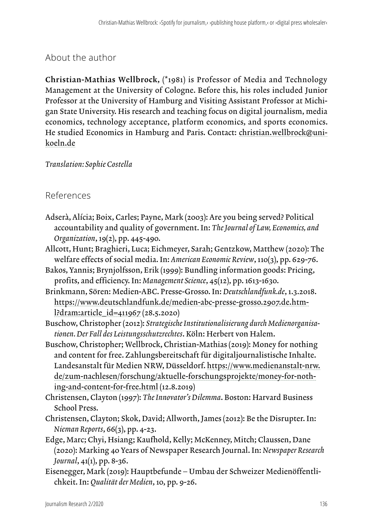## About the author

Christian-Mathias Wellbrock, (\*1981) is Professor of Media and Technology Management at the University of Cologne. Before this, his roles included Junior Professor at the University of Hamburg and Visiting Assistant Professor at Michigan State University. His research and teaching focus on digital journalism, media economics, technology acceptance, platform economics, and sports economics. He studied Economics in Hamburg and Paris. Contact: christian.wellbrock@unikoeln.de

#### *Translation: Sophie Costella*

#### References

- Adserà, Alícia; Boix, Carles; Payne, Mark (2003): Are you being served? Political accountability and quality of government. In: *The Journal of Law, Economics, and Organization*, 19(2), pp. 445-490.
- Allcott, Hunt; Braghieri, Luca; Eichmeyer, Sarah; Gentzkow, Matthew (2020): The welfare effects of social media. In: *American Economic Review*, 110(3), pp. 629-76.
- Bakos, Yannis; Brynjolfsson, Erik (1999): Bundling information goods: Pricing, profits, and efficiency. In: *Management Science*, 45(12), pp. 1613-1630.
- Brinkmann, Sören: Medien-ABC. Presse-Grosso. In: *Deutschlandfunk.de*, 1.3.2018. [https://www.deutschlandfunk.de/medien-abc-presse-grosso.2907.de.htm](https://www.deutschlandfunk.de/medien-abc-presse-grosso.2907.de.html?dram:article_id=411967)[l?dram:article\\_id=411967](https://www.deutschlandfunk.de/medien-abc-presse-grosso.2907.de.html?dram:article_id=411967) (28.5.2020)
- Buschow, Christopher (2012): *Strategische Institutionalisierung durch Medienorganisationen. Der Fall des Leistungsschutzrechtes*. Köln: Herbert von Halem.
- Buschow, Christopher; Wellbrock, Christian-Mathias (2019): Money for nothing and content for free. Zahlungsbereitschaft für digitaljournalistische Inhalte. Landesanstalt für Medien NRW, Düsseldorf. [https://www.medienanstalt-nrw.](https://www.medienanstalt-nrw.de/zum-nachlesen/forschung/aktuelle-forschungsprojekte/money-for-nothing-and-content-for-free.html) [de/zum-nachlesen/forschung/aktuelle-forschungsprojekte/money-for-noth](https://www.medienanstalt-nrw.de/zum-nachlesen/forschung/aktuelle-forschungsprojekte/money-for-nothing-and-content-for-free.html)[ing-and-content-for-free.html](https://www.medienanstalt-nrw.de/zum-nachlesen/forschung/aktuelle-forschungsprojekte/money-for-nothing-and-content-for-free.html) (12.8.2019)
- Christensen, Clayton (1997): *The Innovator's Dilemma*. Boston: Harvard Business School Press.
- Christensen, Clayton; Skok, David; Allworth, James (2012): Be the Disrupter. In: *Nieman Reports*, 66(3), pp. 4-23.
- Edge, Marc; Chyi, Hsiang; Kaufhold, Kelly; McKenney, Mitch; Claussen, Dane (2020): Marking 40 Years of Newspaper Research Journal. In: *Newspaper Research Journal*, 41(1), pp. 8-36.
- Eisenegger, Mark (2019): Hauptbefunde Umbau der Schweizer Medienöffentlichkeit. In: *Qualität der Medien*, 10, pp. 9-26.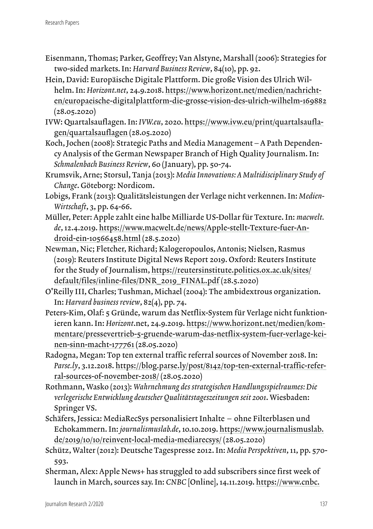- Eisenmann, Thomas; Parker, Geoffrey; Van Alstyne, Marshall (2006): Strategies for two-sided markets. In: *Harvard Business Review*, 84(10), pp. 92.
- Hein, David: Europäische Digitale Plattform. Die große Vision des Ulrich Wilhelm. In: *Horizont.net*, 24.9.2018. [https://www.horizont.net/medien/nachricht](https://www.horizont.net/medien/nachrichten/europaeische-digitalplattform-die-grosse-vision-des-ulrich-wilhelm-169882)[en/europaeische-digitalplattform-die-grosse-vision-des-ulrich-wilhelm-169882](https://www.horizont.net/medien/nachrichten/europaeische-digitalplattform-die-grosse-vision-des-ulrich-wilhelm-169882) (28.05.2020)
- IVW: Quartalsauflagen. In: *IVW.eu*, 2020. [https://www.ivw.eu/print/quartalsaufla](https://www.ivw.eu/print/quartalsauflagen/quartalsauflagen)[gen/quartalsauflagen](https://www.ivw.eu/print/quartalsauflagen/quartalsauflagen) (28.05.2020)
- Koch, Jochen (2008): Strategic Paths and Media Management A Path Dependency Analysis of the German Newspaper Branch of High Quality Journalism. In: *Schmalenbach Business Review*, 60 (January), pp. 50-74.
- Krumsvik, Arne; Storsul, Tanja (2013): *Media Innovations: A Multidisciplinary Study of Change*. Göteborg: Nordicom.
- Lobigs, Frank (2013): Qualitätsleistungen der Verlage nicht verkennen. In: *Medien-Wirtschaft*, 3, pp. 64-66.
- Müller, Peter: Apple zahlt eine halbe Milliarde US-Dollar für Texture. In: *macwelt. de*, 12.4.2019. [https://www.macwelt.de/news/Apple-stellt-Texture-fuer-An](https://www.macwelt.de/news/Apple-stellt-Texture-fuer-Android-ein-10566458.html)[droid-ein-10566458.html](https://www.macwelt.de/news/Apple-stellt-Texture-fuer-Android-ein-10566458.html) (28.5.2020)
- Newman, Nic; Fletcher, Richard; Kalogeropoulos, Antonis; Nielsen, Rasmus (2019): Reuters Institute Digital News Report 2019. Oxford: Reuters Institute for the Study of Journalism, [https://reutersinstitute.politics.ox.ac.uk/sites/](https://reutersinstitute.politics.ox.ac.uk/sites/default/files/inline-files/DNR_2019_FINAL.pdf) [default/files/inline-files/DNR\\_2019\\_FINAL.pdf](https://reutersinstitute.politics.ox.ac.uk/sites/default/files/inline-files/DNR_2019_FINAL.pdf) (28.5.2020)
- O'Reilly III, Charles; Tushman, Michael (2004): The ambidextrous organization. In: *Harvard business review*, 82(4), pp. 74.
- Peters-Kim, Olaf: 5 Gründe, warum das Netflix-System für Verlage nicht funktionieren kann. In: *Horizont*.net, 24.9.2019. [https://www.horizont.net/medien/kom](https://www.horizont.net/medien/kommentare/pressevertrieb-5-gruende-warum-das-netflix-system-fuer-verlage-keinen-sinn-macht-177761)[mentare/pressevertrieb-5-gruende-warum-das-netflix-system-fuer-verlage-kei](https://www.horizont.net/medien/kommentare/pressevertrieb-5-gruende-warum-das-netflix-system-fuer-verlage-keinen-sinn-macht-177761)[nen-sinn-macht-177761](https://www.horizont.net/medien/kommentare/pressevertrieb-5-gruende-warum-das-netflix-system-fuer-verlage-keinen-sinn-macht-177761) (28.05.2020)
- Radogna, Megan: Top ten external traffic referral sources of November 2018. In: *Parse.ly*, 3.12.2018. [https://blog.parse.ly/post/8142/top-ten-external-traffic-refer](https://blog.parse.ly/post/8142/top-ten-external-traffic-referral-sources-of-november-2018/)[ral-sources-of-november-2018/](https://blog.parse.ly/post/8142/top-ten-external-traffic-referral-sources-of-november-2018/) (28.05.2020)
- Rothmann, Wasko (2013): *Wahrnehmung des strategischen Handlungsspielraumes: Die verlegerische Entwicklung deutscher Qualitätstageszeitungen seit 2001*. Wiesbaden: Springer VS.
- Schäfers, Jessica: MediaRecSys personalisiert Inhalte ohne Filterblasen und Echokammern. In: *journalismuslab.de*, 10.10.2019. [https://www.journalismuslab.](https://www.journalismuslab.de/2019/10/10/reinvent-local-media-mediarecsys/) [de/2019/10/10/reinvent-local-media-mediarecsys/](https://www.journalismuslab.de/2019/10/10/reinvent-local-media-mediarecsys/) (28.05.2020)
- Schütz, Walter (2012): Deutsche Tagespresse 2012. In: *Media Perspektiven*, 11, pp. 570- 593.
- Sherman, Alex: Apple News+ has struggled to add subscribers since first week of launch in March, sources say. In: *CNBC* [Online], 14.11.2019. [https://www.cnbc.](https://www.cnbc.com/2019/11/14/apple-news-has-struggled-to-add-subscribers-since-march-launch.html)